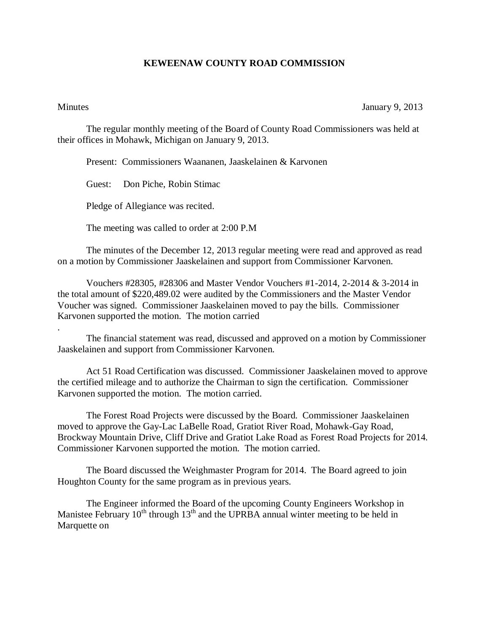## **KEWEENAW COUNTY ROAD COMMISSION**

.

Minutes January 9, 2013

The regular monthly meeting of the Board of County Road Commissioners was held at their offices in Mohawk, Michigan on January 9, 2013.

Present: Commissioners Waananen, Jaaskelainen & Karvonen

Guest: Don Piche, Robin Stimac

Pledge of Allegiance was recited.

The meeting was called to order at 2:00 P.M

The minutes of the December 12, 2013 regular meeting were read and approved as read on a motion by Commissioner Jaaskelainen and support from Commissioner Karvonen.

Vouchers #28305, #28306 and Master Vendor Vouchers #1-2014, 2-2014 & 3-2014 in the total amount of \$220,489.02 were audited by the Commissioners and the Master Vendor Voucher was signed. Commissioner Jaaskelainen moved to pay the bills. Commissioner Karvonen supported the motion. The motion carried

The financial statement was read, discussed and approved on a motion by Commissioner Jaaskelainen and support from Commissioner Karvonen.

Act 51 Road Certification was discussed. Commissioner Jaaskelainen moved to approve the certified mileage and to authorize the Chairman to sign the certification. Commissioner Karvonen supported the motion. The motion carried.

The Forest Road Projects were discussed by the Board. Commissioner Jaaskelainen moved to approve the Gay-Lac LaBelle Road, Gratiot River Road, Mohawk-Gay Road, Brockway Mountain Drive, Cliff Drive and Gratiot Lake Road as Forest Road Projects for 2014. Commissioner Karvonen supported the motion. The motion carried.

The Board discussed the Weighmaster Program for 2014. The Board agreed to join Houghton County for the same program as in previous years.

The Engineer informed the Board of the upcoming County Engineers Workshop in Manistee February  $10^{th}$  through  $13^{th}$  and the UPRBA annual winter meeting to be held in Marquette on